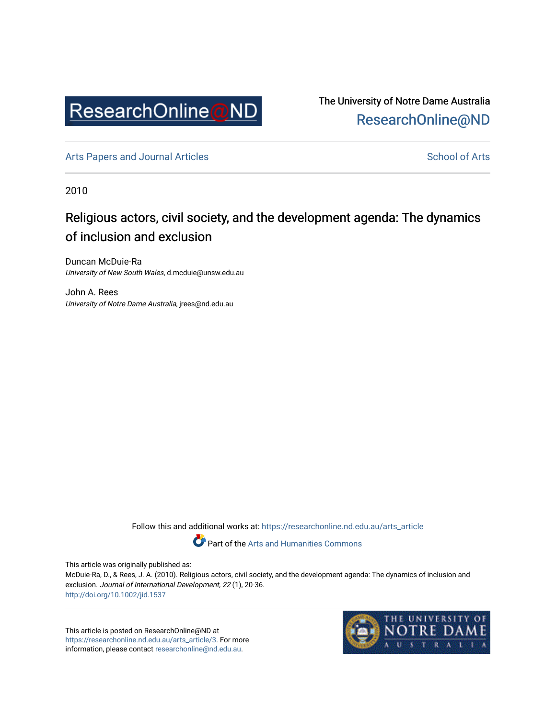

The University of Notre Dame Australia [ResearchOnline@ND](https://researchonline.nd.edu.au/) 

[Arts Papers and Journal Articles](https://researchonline.nd.edu.au/arts_article) and [School of Arts](https://researchonline.nd.edu.au/arts) School of Arts

2010

# Religious actors, civil society, and the development agenda: The dynamics of inclusion and exclusion

Duncan McDuie-Ra University of New South Wales, d.mcduie@unsw.edu.au

John A. Rees University of Notre Dame Australia, jrees@nd.edu.au

Follow this and additional works at: [https://researchonline.nd.edu.au/arts\\_article](https://researchonline.nd.edu.au/arts_article?utm_source=researchonline.nd.edu.au%2Farts_article%2F3&utm_medium=PDF&utm_campaign=PDFCoverPages) 

Part of the [Arts and Humanities Commons](http://network.bepress.com/hgg/discipline/438?utm_source=researchonline.nd.edu.au%2Farts_article%2F3&utm_medium=PDF&utm_campaign=PDFCoverPages) 

This article was originally published as:

McDuie-Ra, D., & Rees, J. A. (2010). Religious actors, civil society, and the development agenda: The dynamics of inclusion and exclusion. Journal of International Development, 22 (1), 20-36. <http://doi.org/10.1002/jid.1537>

This article is posted on ResearchOnline@ND at [https://researchonline.nd.edu.au/arts\\_article/3](https://researchonline.nd.edu.au/arts_article/3). For more information, please contact [researchonline@nd.edu.au.](mailto:researchonline@nd.edu.au)

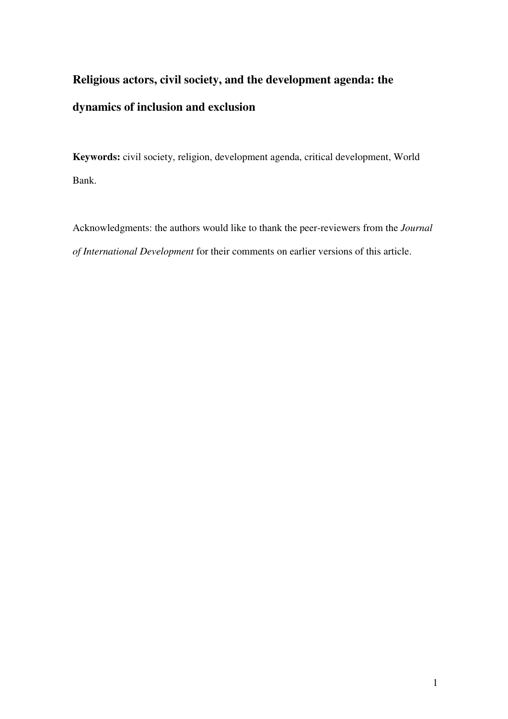# **Religious actors, civil society, and the development agenda: the dynamics of inclusion and exclusion**

**Keywords:** civil society, religion, development agenda, critical development, World Bank.

Acknowledgments: the authors would like to thank the peer-reviewers from the *Journal of International Development* for their comments on earlier versions of this article.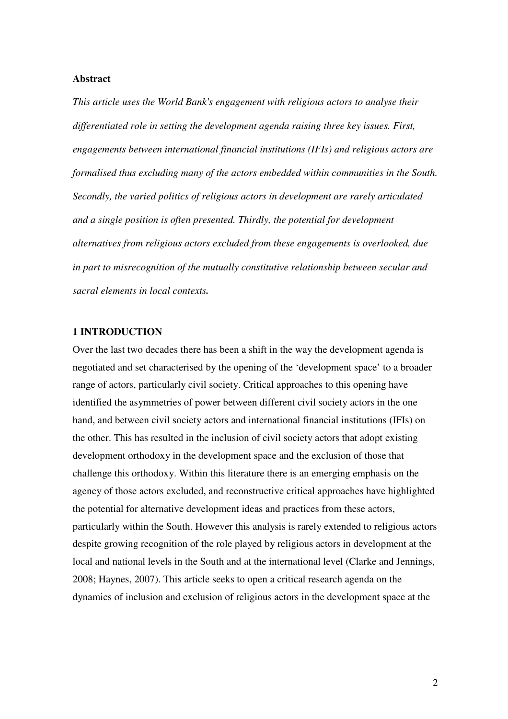#### **Abstract**

*This article uses the World Bank's engagement with religious actors to analyse their differentiated role in setting the development agenda raising three key issues. First, engagements between international financial institutions (IFIs) and religious actors are formalised thus excluding many of the actors embedded within communities in the South. Secondly, the varied politics of religious actors in development are rarely articulated and a single position is often presented. Thirdly, the potential for development alternatives from religious actors excluded from these engagements is overlooked, due in part to misrecognition of the mutually constitutive relationship between secular and sacral elements in local contexts.* 

# **1 INTRODUCTION**

Over the last two decades there has been a shift in the way the development agenda is negotiated and set characterised by the opening of the 'development space' to a broader range of actors, particularly civil society. Critical approaches to this opening have identified the asymmetries of power between different civil society actors in the one hand, and between civil society actors and international financial institutions (IFIs) on the other. This has resulted in the inclusion of civil society actors that adopt existing development orthodoxy in the development space and the exclusion of those that challenge this orthodoxy. Within this literature there is an emerging emphasis on the agency of those actors excluded, and reconstructive critical approaches have highlighted the potential for alternative development ideas and practices from these actors, particularly within the South. However this analysis is rarely extended to religious actors despite growing recognition of the role played by religious actors in development at the local and national levels in the South and at the international level (Clarke and Jennings, 2008; Haynes, 2007). This article seeks to open a critical research agenda on the dynamics of inclusion and exclusion of religious actors in the development space at the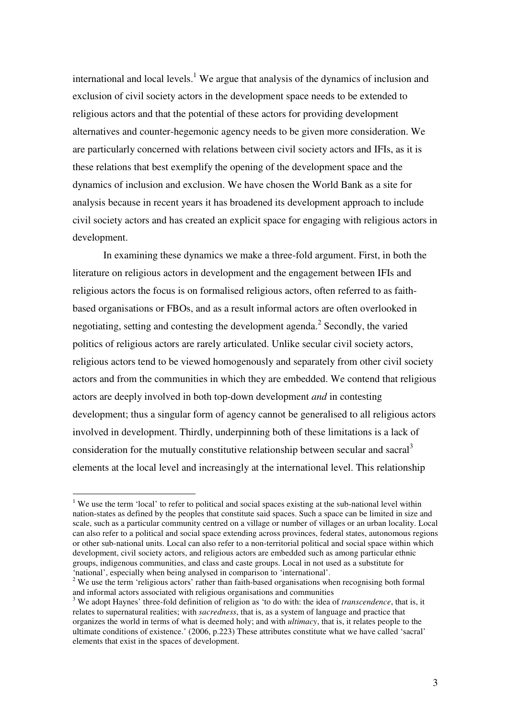international and local levels.<sup>1</sup> We argue that analysis of the dynamics of inclusion and exclusion of civil society actors in the development space needs to be extended to religious actors and that the potential of these actors for providing development alternatives and counter-hegemonic agency needs to be given more consideration. We are particularly concerned with relations between civil society actors and IFIs, as it is these relations that best exemplify the opening of the development space and the dynamics of inclusion and exclusion. We have chosen the World Bank as a site for analysis because in recent years it has broadened its development approach to include civil society actors and has created an explicit space for engaging with religious actors in development.

In examining these dynamics we make a three-fold argument. First, in both the literature on religious actors in development and the engagement between IFIs and religious actors the focus is on formalised religious actors, often referred to as faithbased organisations or FBOs, and as a result informal actors are often overlooked in negotiating, setting and contesting the development agenda.<sup>2</sup> Secondly, the varied politics of religious actors are rarely articulated. Unlike secular civil society actors, religious actors tend to be viewed homogenously and separately from other civil society actors and from the communities in which they are embedded. We contend that religious actors are deeply involved in both top-down development *and* in contesting development; thus a singular form of agency cannot be generalised to all religious actors involved in development. Thirdly, underpinning both of these limitations is a lack of consideration for the mutually constitutive relationship between secular and sacral<sup>3</sup> elements at the local level and increasingly at the international level. This relationship

 $\overline{a}$ 

<sup>&</sup>lt;sup>1</sup> We use the term 'local' to refer to political and social spaces existing at the sub-national level within nation-states as defined by the peoples that constitute said spaces. Such a space can be limited in size and scale, such as a particular community centred on a village or number of villages or an urban locality. Local can also refer to a political and social space extending across provinces, federal states, autonomous regions or other sub-national units. Local can also refer to a non-territorial political and social space within which development, civil society actors, and religious actors are embedded such as among particular ethnic groups, indigenous communities, and class and caste groups. Local in not used as a substitute for 'national', especially when being analysed in comparison to 'international'.

 $2$  We use the term 'religious actors' rather than faith-based organisations when recognising both formal and informal actors associated with religious organisations and communities

<sup>&</sup>lt;sup>3</sup> We adopt Haynes' three-fold definition of religion as 'to do with: the idea of *transcendence*, that is, it relates to supernatural realities; with *sacredness*, that is, as a system of language and practice that organizes the world in terms of what is deemed holy; and with *ultimacy*, that is, it relates people to the ultimate conditions of existence.' (2006, p.223) These attributes constitute what we have called 'sacral' elements that exist in the spaces of development.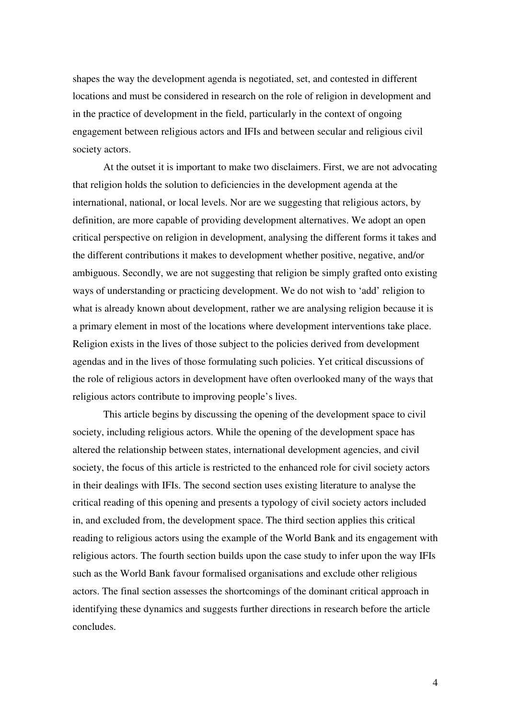shapes the way the development agenda is negotiated, set, and contested in different locations and must be considered in research on the role of religion in development and in the practice of development in the field, particularly in the context of ongoing engagement between religious actors and IFIs and between secular and religious civil society actors.

At the outset it is important to make two disclaimers. First, we are not advocating that religion holds the solution to deficiencies in the development agenda at the international, national, or local levels. Nor are we suggesting that religious actors, by definition, are more capable of providing development alternatives. We adopt an open critical perspective on religion in development, analysing the different forms it takes and the different contributions it makes to development whether positive, negative, and/or ambiguous. Secondly, we are not suggesting that religion be simply grafted onto existing ways of understanding or practicing development. We do not wish to 'add' religion to what is already known about development, rather we are analysing religion because it is a primary element in most of the locations where development interventions take place. Religion exists in the lives of those subject to the policies derived from development agendas and in the lives of those formulating such policies. Yet critical discussions of the role of religious actors in development have often overlooked many of the ways that religious actors contribute to improving people's lives.

This article begins by discussing the opening of the development space to civil society, including religious actors. While the opening of the development space has altered the relationship between states, international development agencies, and civil society, the focus of this article is restricted to the enhanced role for civil society actors in their dealings with IFIs. The second section uses existing literature to analyse the critical reading of this opening and presents a typology of civil society actors included in, and excluded from, the development space. The third section applies this critical reading to religious actors using the example of the World Bank and its engagement with religious actors. The fourth section builds upon the case study to infer upon the way IFIs such as the World Bank favour formalised organisations and exclude other religious actors. The final section assesses the shortcomings of the dominant critical approach in identifying these dynamics and suggests further directions in research before the article concludes.

4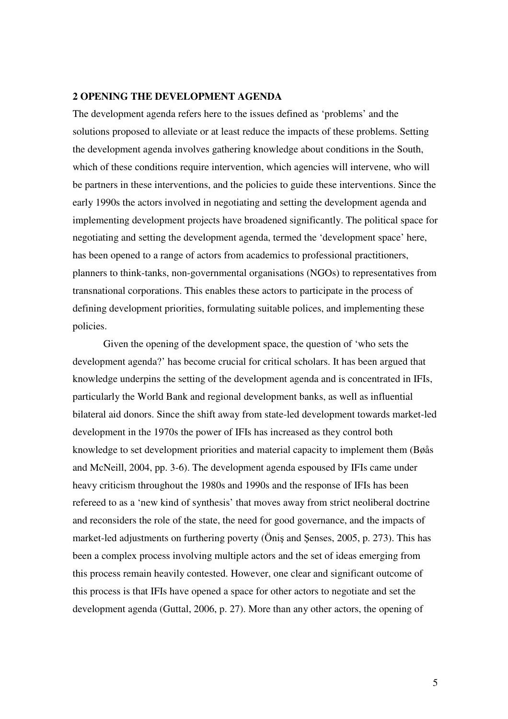#### **2 OPENING THE DEVELOPMENT AGENDA**

The development agenda refers here to the issues defined as 'problems' and the solutions proposed to alleviate or at least reduce the impacts of these problems. Setting the development agenda involves gathering knowledge about conditions in the South, which of these conditions require intervention, which agencies will intervene, who will be partners in these interventions, and the policies to guide these interventions. Since the early 1990s the actors involved in negotiating and setting the development agenda and implementing development projects have broadened significantly. The political space for negotiating and setting the development agenda, termed the 'development space' here, has been opened to a range of actors from academics to professional practitioners, planners to think-tanks, non-governmental organisations (NGOs) to representatives from transnational corporations. This enables these actors to participate in the process of defining development priorities, formulating suitable polices, and implementing these policies.

Given the opening of the development space, the question of 'who sets the development agenda?' has become crucial for critical scholars. It has been argued that knowledge underpins the setting of the development agenda and is concentrated in IFIs, particularly the World Bank and regional development banks, as well as influential bilateral aid donors. Since the shift away from state-led development towards market-led development in the 1970s the power of IFIs has increased as they control both knowledge to set development priorities and material capacity to implement them (Bøås and McNeill, 2004, pp. 3-6). The development agenda espoused by IFIs came under heavy criticism throughout the 1980s and 1990s and the response of IFIs has been refereed to as a 'new kind of synthesis' that moves away from strict neoliberal doctrine and reconsiders the role of the state, the need for good governance, and the impacts of market-led adjustments on furthering poverty (Öniş and Şenses, 2005, p. 273). This has been a complex process involving multiple actors and the set of ideas emerging from this process remain heavily contested. However, one clear and significant outcome of this process is that IFIs have opened a space for other actors to negotiate and set the development agenda (Guttal, 2006, p. 27). More than any other actors, the opening of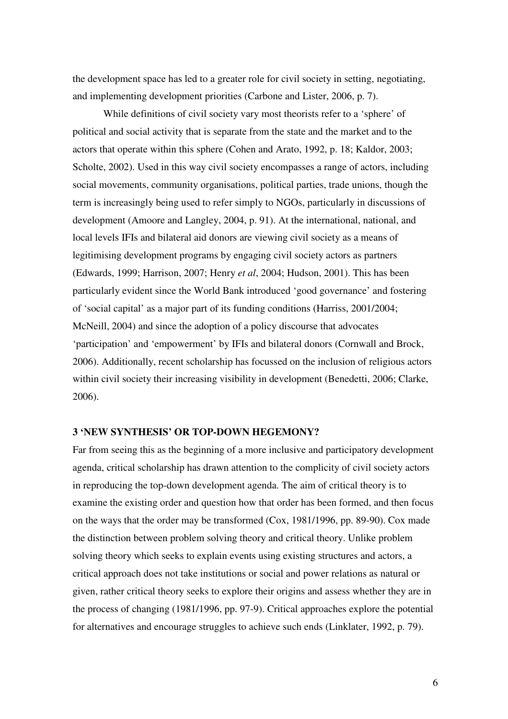the development space has led to a greater role for civil society in setting, negotiating, and implementing development priorities (Carbone and Lister, 2006, p. 7).

While definitions of civil society vary most theorists refer to a 'sphere' of political and social activity that is separate from the state and the market and to the actors that operate within this sphere (Cohen and Arato, 1992, p. 18; Kaldor, 2003; Scholte, 2002). Used in this way civil society encompasses a range of actors, including social movements, community organisations, political parties, trade unions, though the term is increasingly being used to refer simply to NGOs, particularly in discussions of development (Amoore and Langley, 2004, p. 91). At the international, national, and local levels IFIs and bilateral aid donors are viewing civil society as a means of legitimising development programs by engaging civil society actors as partners (Edwards, 1999; Harrison, 2007; Henry *et al*, 2004; Hudson, 2001). This has been particularly evident since the World Bank introduced 'good governance' and fostering of 'social capital' as a major part of its funding conditions (Harriss, 2001/2004; McNeill, 2004) and since the adoption of a policy discourse that advocates 'participation' and 'empowerment' by IFIs and bilateral donors (Cornwall and Brock, 2006). Additionally, recent scholarship has focussed on the inclusion of religious actors within civil society their increasing visibility in development (Benedetti, 2006; Clarke, 2006).

#### **3 'NEW SYNTHESIS' OR TOP-DOWN HEGEMONY?**

Far from seeing this as the beginning of a more inclusive and participatory development agenda, critical scholarship has drawn attention to the complicity of civil society actors in reproducing the top-down development agenda. The aim of critical theory is to examine the existing order and question how that order has been formed, and then focus on the ways that the order may be transformed (Cox, 1981/1996, pp. 89-90). Cox made the distinction between problem solving theory and critical theory. Unlike problem solving theory which seeks to explain events using existing structures and actors, a critical approach does not take institutions or social and power relations as natural or given, rather critical theory seeks to explore their origins and assess whether they are in the process of changing (1981/1996, pp. 97-9). Critical approaches explore the potential for alternatives and encourage struggles to achieve such ends (Linklater, 1992, p. 79).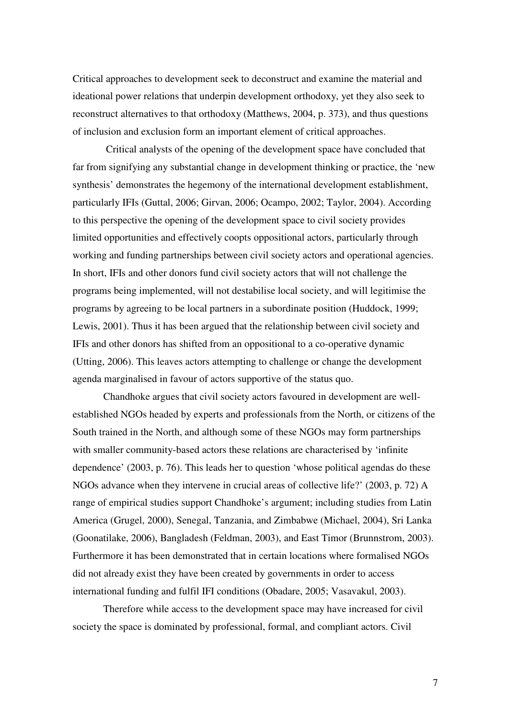Critical approaches to development seek to deconstruct and examine the material and ideational power relations that underpin development orthodoxy, yet they also seek to reconstruct alternatives to that orthodoxy (Matthews, 2004, p. 373), and thus questions of inclusion and exclusion form an important element of critical approaches.

 Critical analysts of the opening of the development space have concluded that far from signifying any substantial change in development thinking or practice, the 'new synthesis' demonstrates the hegemony of the international development establishment, particularly IFIs (Guttal, 2006; Girvan, 2006; Ocampo, 2002; Taylor, 2004). According to this perspective the opening of the development space to civil society provides limited opportunities and effectively coopts oppositional actors, particularly through working and funding partnerships between civil society actors and operational agencies. In short, IFIs and other donors fund civil society actors that will not challenge the programs being implemented, will not destabilise local society, and will legitimise the programs by agreeing to be local partners in a subordinate position (Huddock, 1999; Lewis, 2001). Thus it has been argued that the relationship between civil society and IFIs and other donors has shifted from an oppositional to a co-operative dynamic (Utting, 2006). This leaves actors attempting to challenge or change the development agenda marginalised in favour of actors supportive of the status quo.

Chandhoke argues that civil society actors favoured in development are wellestablished NGOs headed by experts and professionals from the North, or citizens of the South trained in the North, and although some of these NGOs may form partnerships with smaller community-based actors these relations are characterised by 'infinite dependence' (2003, p. 76). This leads her to question 'whose political agendas do these NGOs advance when they intervene in crucial areas of collective life?' (2003, p. 72) A range of empirical studies support Chandhoke's argument; including studies from Latin America (Grugel, 2000), Senegal, Tanzania, and Zimbabwe (Michael, 2004), Sri Lanka (Goonatilake, 2006), Bangladesh (Feldman, 2003), and East Timor (Brunnstrom, 2003). Furthermore it has been demonstrated that in certain locations where formalised NGOs did not already exist they have been created by governments in order to access international funding and fulfil IFI conditions (Obadare, 2005; Vasavakul, 2003).

Therefore while access to the development space may have increased for civil society the space is dominated by professional, formal, and compliant actors. Civil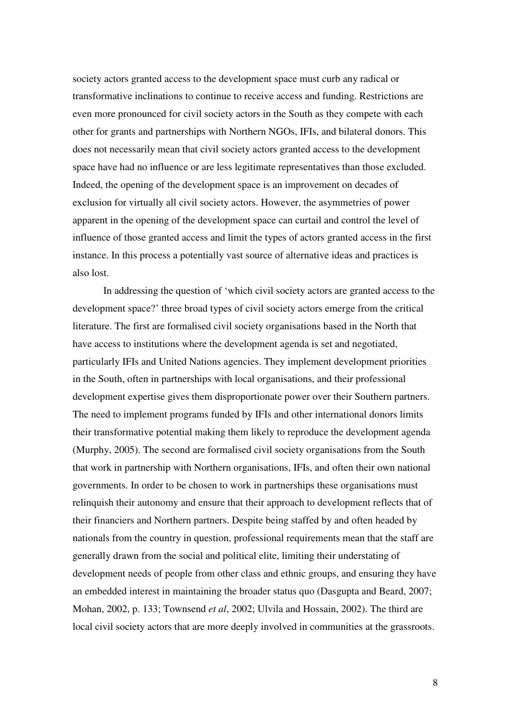society actors granted access to the development space must curb any radical or transformative inclinations to continue to receive access and funding. Restrictions are even more pronounced for civil society actors in the South as they compete with each other for grants and partnerships with Northern NGOs, IFIs, and bilateral donors. This does not necessarily mean that civil society actors granted access to the development space have had no influence or are less legitimate representatives than those excluded. Indeed, the opening of the development space is an improvement on decades of exclusion for virtually all civil society actors. However, the asymmetries of power apparent in the opening of the development space can curtail and control the level of influence of those granted access and limit the types of actors granted access in the first instance. In this process a potentially vast source of alternative ideas and practices is also lost.

In addressing the question of 'which civil society actors are granted access to the development space?' three broad types of civil society actors emerge from the critical literature. The first are formalised civil society organisations based in the North that have access to institutions where the development agenda is set and negotiated, particularly IFIs and United Nations agencies. They implement development priorities in the South, often in partnerships with local organisations, and their professional development expertise gives them disproportionate power over their Southern partners. The need to implement programs funded by IFIs and other international donors limits their transformative potential making them likely to reproduce the development agenda (Murphy, 2005). The second are formalised civil society organisations from the South that work in partnership with Northern organisations, IFIs, and often their own national governments. In order to be chosen to work in partnerships these organisations must relinquish their autonomy and ensure that their approach to development reflects that of their financiers and Northern partners. Despite being staffed by and often headed by nationals from the country in question, professional requirements mean that the staff are generally drawn from the social and political elite, limiting their understating of development needs of people from other class and ethnic groups, and ensuring they have an embedded interest in maintaining the broader status quo (Dasgupta and Beard, 2007; Mohan, 2002, p. 133; Townsend *et al*, 2002; Ulvila and Hossain, 2002). The third are local civil society actors that are more deeply involved in communities at the grassroots.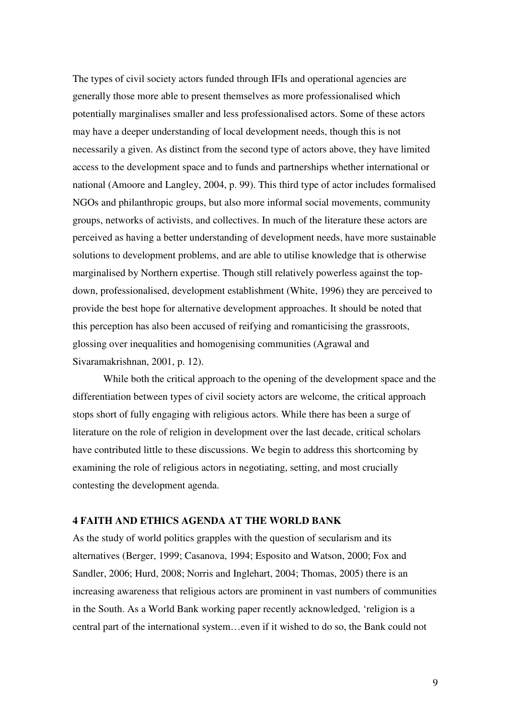The types of civil society actors funded through IFIs and operational agencies are generally those more able to present themselves as more professionalised which potentially marginalises smaller and less professionalised actors. Some of these actors may have a deeper understanding of local development needs, though this is not necessarily a given. As distinct from the second type of actors above, they have limited access to the development space and to funds and partnerships whether international or national (Amoore and Langley, 2004, p. 99). This third type of actor includes formalised NGOs and philanthropic groups, but also more informal social movements, community groups, networks of activists, and collectives. In much of the literature these actors are perceived as having a better understanding of development needs, have more sustainable solutions to development problems, and are able to utilise knowledge that is otherwise marginalised by Northern expertise. Though still relatively powerless against the topdown, professionalised, development establishment (White, 1996) they are perceived to provide the best hope for alternative development approaches. It should be noted that this perception has also been accused of reifying and romanticising the grassroots, glossing over inequalities and homogenising communities (Agrawal and Sivaramakrishnan, 2001, p. 12).

While both the critical approach to the opening of the development space and the differentiation between types of civil society actors are welcome, the critical approach stops short of fully engaging with religious actors. While there has been a surge of literature on the role of religion in development over the last decade, critical scholars have contributed little to these discussions. We begin to address this shortcoming by examining the role of religious actors in negotiating, setting, and most crucially contesting the development agenda.

#### **4 FAITH AND ETHICS AGENDA AT THE WORLD BANK**

As the study of world politics grapples with the question of secularism and its alternatives (Berger, 1999; Casanova, 1994; Esposito and Watson, 2000; Fox and Sandler, 2006; Hurd, 2008; Norris and Inglehart, 2004; Thomas, 2005) there is an increasing awareness that religious actors are prominent in vast numbers of communities in the South. As a World Bank working paper recently acknowledged, 'religion is a central part of the international system…even if it wished to do so, the Bank could not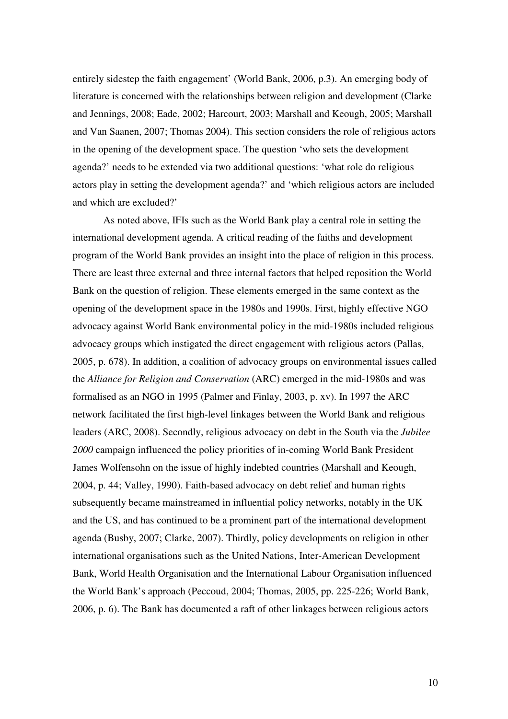entirely sidestep the faith engagement' (World Bank, 2006, p.3). An emerging body of literature is concerned with the relationships between religion and development (Clarke and Jennings, 2008; Eade, 2002; Harcourt, 2003; Marshall and Keough, 2005; Marshall and Van Saanen, 2007; Thomas 2004). This section considers the role of religious actors in the opening of the development space. The question 'who sets the development agenda?' needs to be extended via two additional questions: 'what role do religious actors play in setting the development agenda?' and 'which religious actors are included and which are excluded?'

As noted above, IFIs such as the World Bank play a central role in setting the international development agenda. A critical reading of the faiths and development program of the World Bank provides an insight into the place of religion in this process. There are least three external and three internal factors that helped reposition the World Bank on the question of religion. These elements emerged in the same context as the opening of the development space in the 1980s and 1990s. First, highly effective NGO advocacy against World Bank environmental policy in the mid-1980s included religious advocacy groups which instigated the direct engagement with religious actors (Pallas, 2005, p. 678). In addition, a coalition of advocacy groups on environmental issues called the *Alliance for Religion and Conservation* (ARC) emerged in the mid-1980s and was formalised as an NGO in 1995 (Palmer and Finlay, 2003, p. xv). In 1997 the ARC network facilitated the first high-level linkages between the World Bank and religious leaders (ARC, 2008). Secondly, religious advocacy on debt in the South via the *Jubilee 2000* campaign influenced the policy priorities of in-coming World Bank President James Wolfensohn on the issue of highly indebted countries (Marshall and Keough, 2004, p. 44; Valley, 1990). Faith-based advocacy on debt relief and human rights subsequently became mainstreamed in influential policy networks, notably in the UK and the US, and has continued to be a prominent part of the international development agenda (Busby, 2007; Clarke, 2007). Thirdly, policy developments on religion in other international organisations such as the United Nations, Inter-American Development Bank, World Health Organisation and the International Labour Organisation influenced the World Bank's approach (Peccoud, 2004; Thomas, 2005, pp. 225-226; World Bank, 2006, p. 6). The Bank has documented a raft of other linkages between religious actors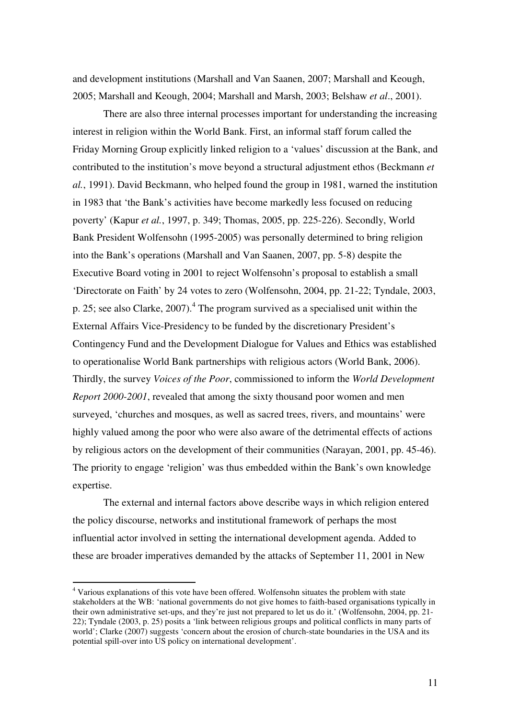and development institutions (Marshall and Van Saanen, 2007; Marshall and Keough, 2005; Marshall and Keough, 2004; Marshall and Marsh, 2003; Belshaw *et al*., 2001).

 There are also three internal processes important for understanding the increasing interest in religion within the World Bank. First, an informal staff forum called the Friday Morning Group explicitly linked religion to a 'values' discussion at the Bank, and contributed to the institution's move beyond a structural adjustment ethos (Beckmann *et al.*, 1991). David Beckmann, who helped found the group in 1981, warned the institution in 1983 that 'the Bank's activities have become markedly less focused on reducing poverty' (Kapur *et al.*, 1997, p. 349; Thomas, 2005, pp. 225-226). Secondly, World Bank President Wolfensohn (1995-2005) was personally determined to bring religion into the Bank's operations (Marshall and Van Saanen, 2007, pp. 5-8) despite the Executive Board voting in 2001 to reject Wolfensohn's proposal to establish a small 'Directorate on Faith' by 24 votes to zero (Wolfensohn, 2004, pp. 21-22; Tyndale, 2003, p. 25; see also Clarke,  $2007$ ).<sup>4</sup> The program survived as a specialised unit within the External Affairs Vice-Presidency to be funded by the discretionary President's Contingency Fund and the Development Dialogue for Values and Ethics was established to operationalise World Bank partnerships with religious actors (World Bank, 2006). Thirdly, the survey *Voices of the Poor*, commissioned to inform the *World Development Report 2000-2001*, revealed that among the sixty thousand poor women and men surveyed, 'churches and mosques, as well as sacred trees, rivers, and mountains' were highly valued among the poor who were also aware of the detrimental effects of actions by religious actors on the development of their communities (Narayan, 2001, pp. 45-46). The priority to engage 'religion' was thus embedded within the Bank's own knowledge expertise.

The external and internal factors above describe ways in which religion entered the policy discourse, networks and institutional framework of perhaps the most influential actor involved in setting the international development agenda. Added to these are broader imperatives demanded by the attacks of September 11, 2001 in New

 $\overline{a}$ 

<sup>&</sup>lt;sup>4</sup> Various explanations of this vote have been offered. Wolfensohn situates the problem with state stakeholders at the WB: 'national governments do not give homes to faith-based organisations typically in their own administrative set-ups, and they're just not prepared to let us do it.' (Wolfensohn, 2004, pp. 21- 22); Tyndale (2003, p. 25) posits a 'link between religious groups and political conflicts in many parts of world'; Clarke (2007) suggests 'concern about the erosion of church-state boundaries in the USA and its potential spill-over into US policy on international development'.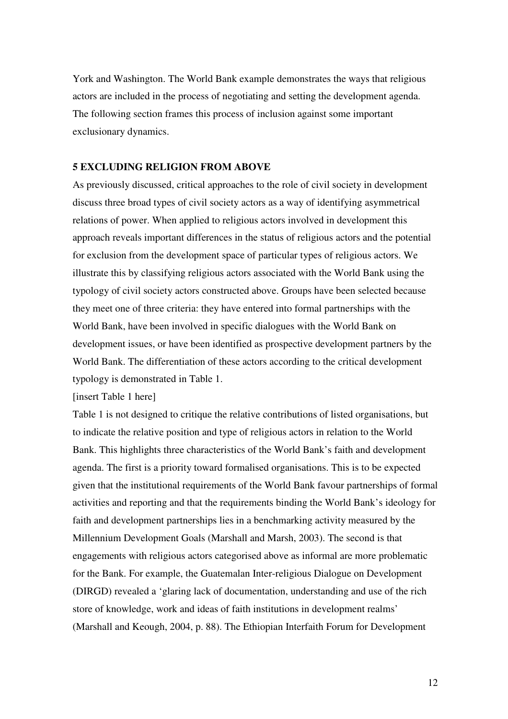York and Washington. The World Bank example demonstrates the ways that religious actors are included in the process of negotiating and setting the development agenda. The following section frames this process of inclusion against some important exclusionary dynamics.

# **5 EXCLUDING RELIGION FROM ABOVE**

As previously discussed, critical approaches to the role of civil society in development discuss three broad types of civil society actors as a way of identifying asymmetrical relations of power. When applied to religious actors involved in development this approach reveals important differences in the status of religious actors and the potential for exclusion from the development space of particular types of religious actors. We illustrate this by classifying religious actors associated with the World Bank using the typology of civil society actors constructed above. Groups have been selected because they meet one of three criteria: they have entered into formal partnerships with the World Bank, have been involved in specific dialogues with the World Bank on development issues, or have been identified as prospective development partners by the World Bank. The differentiation of these actors according to the critical development typology is demonstrated in Table 1.

[insert Table 1 here]

Table 1 is not designed to critique the relative contributions of listed organisations, but to indicate the relative position and type of religious actors in relation to the World Bank. This highlights three characteristics of the World Bank's faith and development agenda. The first is a priority toward formalised organisations. This is to be expected given that the institutional requirements of the World Bank favour partnerships of formal activities and reporting and that the requirements binding the World Bank's ideology for faith and development partnerships lies in a benchmarking activity measured by the Millennium Development Goals (Marshall and Marsh, 2003). The second is that engagements with religious actors categorised above as informal are more problematic for the Bank. For example, the Guatemalan Inter-religious Dialogue on Development (DIRGD) revealed a 'glaring lack of documentation, understanding and use of the rich store of knowledge, work and ideas of faith institutions in development realms' (Marshall and Keough, 2004, p. 88). The Ethiopian Interfaith Forum for Development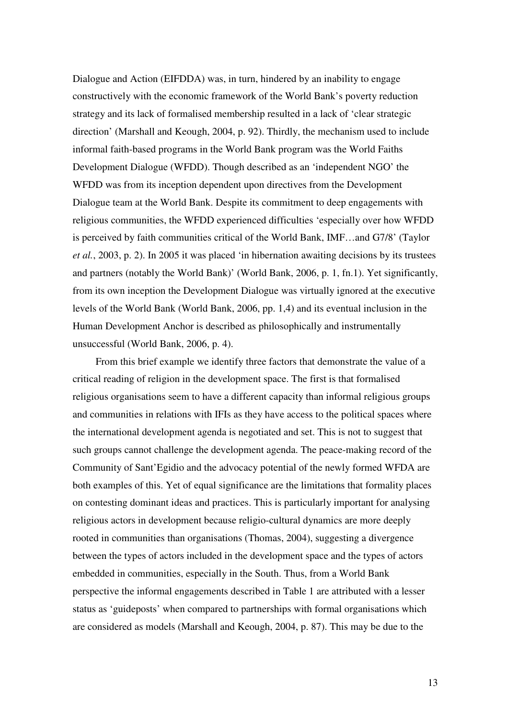Dialogue and Action (EIFDDA) was, in turn, hindered by an inability to engage constructively with the economic framework of the World Bank's poverty reduction strategy and its lack of formalised membership resulted in a lack of 'clear strategic direction' (Marshall and Keough, 2004, p. 92). Thirdly, the mechanism used to include informal faith-based programs in the World Bank program was the World Faiths Development Dialogue (WFDD). Though described as an 'independent NGO' the WFDD was from its inception dependent upon directives from the Development Dialogue team at the World Bank. Despite its commitment to deep engagements with religious communities, the WFDD experienced difficulties 'especially over how WFDD is perceived by faith communities critical of the World Bank, IMF…and G7/8' (Taylor *et al.*, 2003, p. 2). In 2005 it was placed 'in hibernation awaiting decisions by its trustees and partners (notably the World Bank)' (World Bank, 2006, p. 1, fn.1). Yet significantly, from its own inception the Development Dialogue was virtually ignored at the executive levels of the World Bank (World Bank, 2006, pp. 1,4) and its eventual inclusion in the Human Development Anchor is described as philosophically and instrumentally unsuccessful (World Bank, 2006, p. 4).

 From this brief example we identify three factors that demonstrate the value of a critical reading of religion in the development space. The first is that formalised religious organisations seem to have a different capacity than informal religious groups and communities in relations with IFIs as they have access to the political spaces where the international development agenda is negotiated and set. This is not to suggest that such groups cannot challenge the development agenda. The peace-making record of the Community of Sant'Egidio and the advocacy potential of the newly formed WFDA are both examples of this. Yet of equal significance are the limitations that formality places on contesting dominant ideas and practices. This is particularly important for analysing religious actors in development because religio-cultural dynamics are more deeply rooted in communities than organisations (Thomas, 2004), suggesting a divergence between the types of actors included in the development space and the types of actors embedded in communities, especially in the South. Thus, from a World Bank perspective the informal engagements described in Table 1 are attributed with a lesser status as 'guideposts' when compared to partnerships with formal organisations which are considered as models (Marshall and Keough, 2004, p. 87). This may be due to the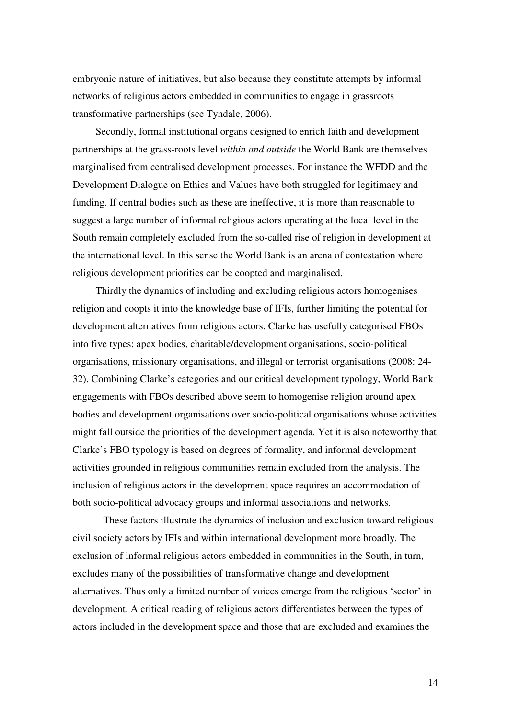embryonic nature of initiatives, but also because they constitute attempts by informal networks of religious actors embedded in communities to engage in grassroots transformative partnerships (see Tyndale, 2006).

 Secondly, formal institutional organs designed to enrich faith and development partnerships at the grass-roots level *within and outside* the World Bank are themselves marginalised from centralised development processes. For instance the WFDD and the Development Dialogue on Ethics and Values have both struggled for legitimacy and funding. If central bodies such as these are ineffective, it is more than reasonable to suggest a large number of informal religious actors operating at the local level in the South remain completely excluded from the so-called rise of religion in development at the international level. In this sense the World Bank is an arena of contestation where religious development priorities can be coopted and marginalised.

 Thirdly the dynamics of including and excluding religious actors homogenises religion and coopts it into the knowledge base of IFIs, further limiting the potential for development alternatives from religious actors. Clarke has usefully categorised FBOs into five types: apex bodies, charitable/development organisations, socio-political organisations, missionary organisations, and illegal or terrorist organisations (2008: 24- 32). Combining Clarke's categories and our critical development typology, World Bank engagements with FBOs described above seem to homogenise religion around apex bodies and development organisations over socio-political organisations whose activities might fall outside the priorities of the development agenda. Yet it is also noteworthy that Clarke's FBO typology is based on degrees of formality, and informal development activities grounded in religious communities remain excluded from the analysis. The inclusion of religious actors in the development space requires an accommodation of both socio-political advocacy groups and informal associations and networks.

 These factors illustrate the dynamics of inclusion and exclusion toward religious civil society actors by IFIs and within international development more broadly. The exclusion of informal religious actors embedded in communities in the South, in turn, excludes many of the possibilities of transformative change and development alternatives. Thus only a limited number of voices emerge from the religious 'sector' in development. A critical reading of religious actors differentiates between the types of actors included in the development space and those that are excluded and examines the

14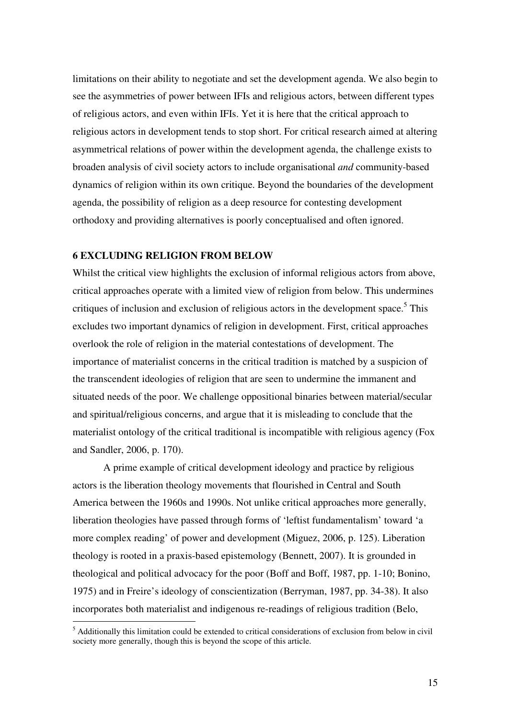limitations on their ability to negotiate and set the development agenda. We also begin to see the asymmetries of power between IFIs and religious actors, between different types of religious actors, and even within IFIs. Yet it is here that the critical approach to religious actors in development tends to stop short. For critical research aimed at altering asymmetrical relations of power within the development agenda, the challenge exists to broaden analysis of civil society actors to include organisational *and* community-based dynamics of religion within its own critique. Beyond the boundaries of the development agenda, the possibility of religion as a deep resource for contesting development orthodoxy and providing alternatives is poorly conceptualised and often ignored.

# **6 EXCLUDING RELIGION FROM BELOW**

 $\overline{a}$ 

Whilst the critical view highlights the exclusion of informal religious actors from above, critical approaches operate with a limited view of religion from below. This undermines critiques of inclusion and exclusion of religious actors in the development space.<sup>5</sup> This excludes two important dynamics of religion in development. First, critical approaches overlook the role of religion in the material contestations of development. The importance of materialist concerns in the critical tradition is matched by a suspicion of the transcendent ideologies of religion that are seen to undermine the immanent and situated needs of the poor. We challenge oppositional binaries between material/secular and spiritual/religious concerns, and argue that it is misleading to conclude that the materialist ontology of the critical traditional is incompatible with religious agency (Fox and Sandler, 2006, p. 170).

A prime example of critical development ideology and practice by religious actors is the liberation theology movements that flourished in Central and South America between the 1960s and 1990s. Not unlike critical approaches more generally, liberation theologies have passed through forms of 'leftist fundamentalism' toward 'a more complex reading' of power and development (Miguez, 2006, p. 125). Liberation theology is rooted in a praxis-based epistemology (Bennett, 2007). It is grounded in theological and political advocacy for the poor (Boff and Boff, 1987, pp. 1-10; Bonino, 1975) and in Freire's ideology of conscientization (Berryman, 1987, pp. 34-38). It also incorporates both materialist and indigenous re-readings of religious tradition (Belo,

<sup>&</sup>lt;sup>5</sup> Additionally this limitation could be extended to critical considerations of exclusion from below in civil society more generally, though this is beyond the scope of this article.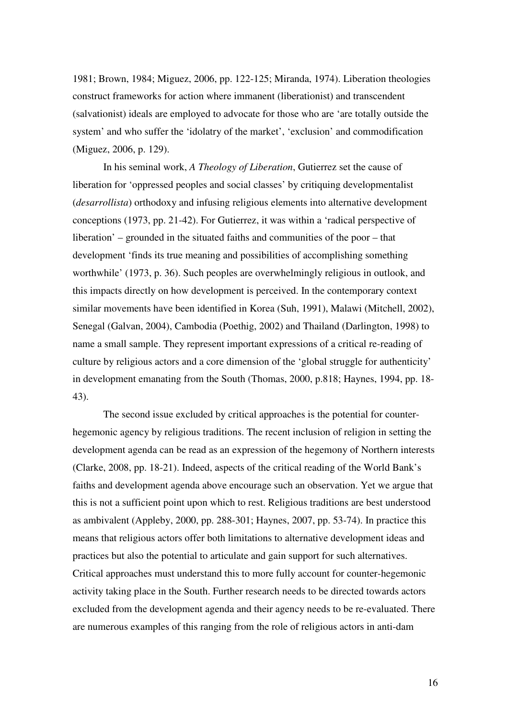1981; Brown, 1984; Miguez, 2006, pp. 122-125; Miranda, 1974). Liberation theologies construct frameworks for action where immanent (liberationist) and transcendent (salvationist) ideals are employed to advocate for those who are 'are totally outside the system' and who suffer the 'idolatry of the market', 'exclusion' and commodification (Miguez, 2006, p. 129).

In his seminal work, *A Theology of Liberation*, Gutierrez set the cause of liberation for 'oppressed peoples and social classes' by critiquing developmentalist (*desarrollista*) orthodoxy and infusing religious elements into alternative development conceptions (1973, pp. 21-42). For Gutierrez, it was within a 'radical perspective of liberation' – grounded in the situated faiths and communities of the poor – that development 'finds its true meaning and possibilities of accomplishing something worthwhile' (1973, p. 36). Such peoples are overwhelmingly religious in outlook, and this impacts directly on how development is perceived. In the contemporary context similar movements have been identified in Korea (Suh, 1991), Malawi (Mitchell, 2002), Senegal (Galvan, 2004), Cambodia (Poethig, 2002) and Thailand (Darlington, 1998) to name a small sample. They represent important expressions of a critical re-reading of culture by religious actors and a core dimension of the 'global struggle for authenticity' in development emanating from the South (Thomas, 2000, p.818; Haynes, 1994, pp. 18- 43).

The second issue excluded by critical approaches is the potential for counterhegemonic agency by religious traditions. The recent inclusion of religion in setting the development agenda can be read as an expression of the hegemony of Northern interests (Clarke, 2008, pp. 18-21). Indeed, aspects of the critical reading of the World Bank's faiths and development agenda above encourage such an observation. Yet we argue that this is not a sufficient point upon which to rest. Religious traditions are best understood as ambivalent (Appleby, 2000, pp. 288-301; Haynes, 2007, pp. 53-74). In practice this means that religious actors offer both limitations to alternative development ideas and practices but also the potential to articulate and gain support for such alternatives. Critical approaches must understand this to more fully account for counter-hegemonic activity taking place in the South. Further research needs to be directed towards actors excluded from the development agenda and their agency needs to be re-evaluated. There are numerous examples of this ranging from the role of religious actors in anti-dam

16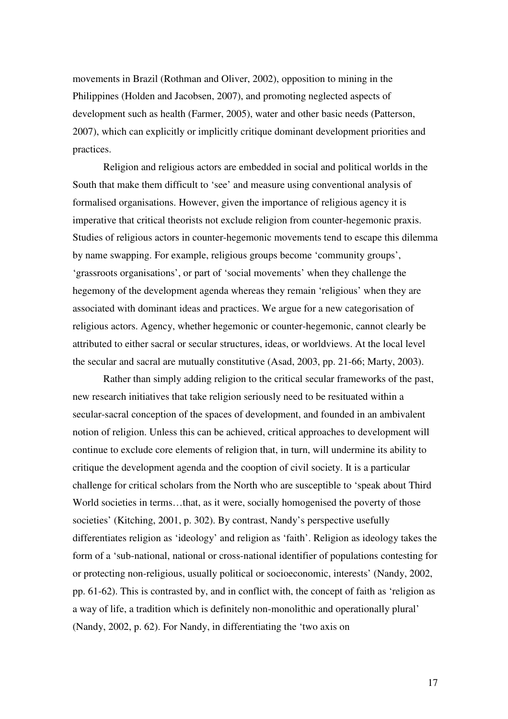movements in Brazil (Rothman and Oliver, 2002), opposition to mining in the Philippines (Holden and Jacobsen, 2007), and promoting neglected aspects of development such as health (Farmer, 2005), water and other basic needs (Patterson, 2007), which can explicitly or implicitly critique dominant development priorities and practices.

Religion and religious actors are embedded in social and political worlds in the South that make them difficult to 'see' and measure using conventional analysis of formalised organisations. However, given the importance of religious agency it is imperative that critical theorists not exclude religion from counter-hegemonic praxis. Studies of religious actors in counter-hegemonic movements tend to escape this dilemma by name swapping. For example, religious groups become 'community groups', 'grassroots organisations', or part of 'social movements' when they challenge the hegemony of the development agenda whereas they remain 'religious' when they are associated with dominant ideas and practices. We argue for a new categorisation of religious actors. Agency, whether hegemonic or counter-hegemonic, cannot clearly be attributed to either sacral or secular structures, ideas, or worldviews. At the local level the secular and sacral are mutually constitutive (Asad, 2003, pp. 21-66; Marty, 2003).

Rather than simply adding religion to the critical secular frameworks of the past, new research initiatives that take religion seriously need to be resituated within a secular-sacral conception of the spaces of development, and founded in an ambivalent notion of religion. Unless this can be achieved, critical approaches to development will continue to exclude core elements of religion that, in turn, will undermine its ability to critique the development agenda and the cooption of civil society. It is a particular challenge for critical scholars from the North who are susceptible to 'speak about Third World societies in terms...that, as it were, socially homogenised the poverty of those societies' (Kitching, 2001, p. 302). By contrast, Nandy's perspective usefully differentiates religion as 'ideology' and religion as 'faith'. Religion as ideology takes the form of a 'sub-national, national or cross-national identifier of populations contesting for or protecting non-religious, usually political or socioeconomic, interests' (Nandy, 2002, pp. 61-62). This is contrasted by, and in conflict with, the concept of faith as 'religion as a way of life, a tradition which is definitely non-monolithic and operationally plural' (Nandy, 2002, p. 62). For Nandy, in differentiating the 'two axis on

17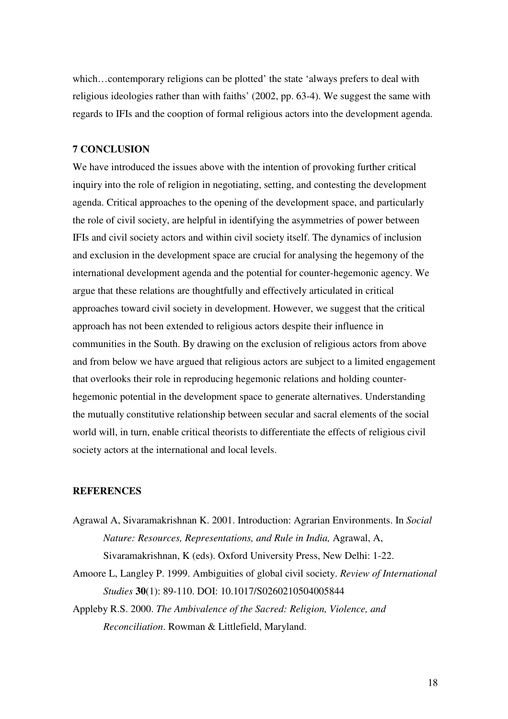which…contemporary religions can be plotted' the state 'always prefers to deal with religious ideologies rather than with faiths' (2002, pp. 63-4). We suggest the same with regards to IFIs and the cooption of formal religious actors into the development agenda.

# **7 CONCLUSION**

We have introduced the issues above with the intention of provoking further critical inquiry into the role of religion in negotiating, setting, and contesting the development agenda. Critical approaches to the opening of the development space, and particularly the role of civil society, are helpful in identifying the asymmetries of power between IFIs and civil society actors and within civil society itself. The dynamics of inclusion and exclusion in the development space are crucial for analysing the hegemony of the international development agenda and the potential for counter-hegemonic agency. We argue that these relations are thoughtfully and effectively articulated in critical approaches toward civil society in development. However, we suggest that the critical approach has not been extended to religious actors despite their influence in communities in the South. By drawing on the exclusion of religious actors from above and from below we have argued that religious actors are subject to a limited engagement that overlooks their role in reproducing hegemonic relations and holding counterhegemonic potential in the development space to generate alternatives. Understanding the mutually constitutive relationship between secular and sacral elements of the social world will, in turn, enable critical theorists to differentiate the effects of religious civil society actors at the international and local levels.

#### **REFERENCES**

- Agrawal A, Sivaramakrishnan K. 2001. Introduction: Agrarian Environments. In *Social Nature: Resources, Representations, and Rule in India,* Agrawal, A, Sivaramakrishnan, K (eds). Oxford University Press, New Delhi: 1-22.
- Amoore L, Langley P. 1999. Ambiguities of global civil society. *Review of International Studies* **30**(1): 89-110. DOI: 10.1017/S0260210504005844
- Appleby R.S. 2000. *The Ambivalence of the Sacred: Religion, Violence, and Reconciliation*. Rowman & Littlefield, Maryland.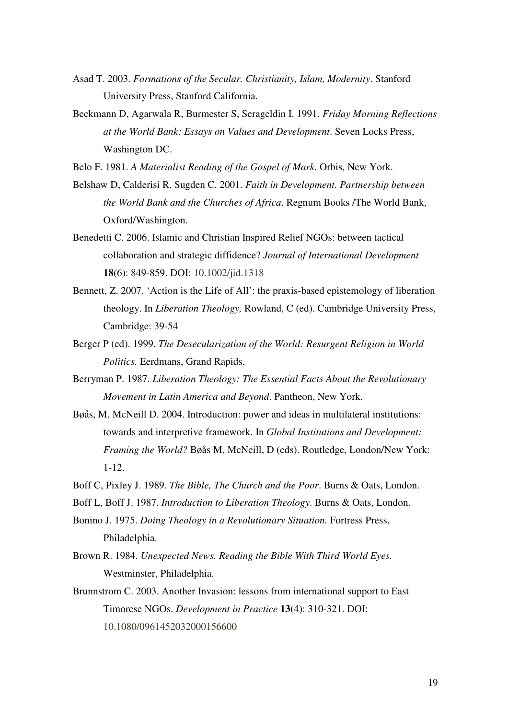- Asad T. 2003. *Formations of the Secular. Christianity, Islam, Modernity*. Stanford University Press, Stanford California.
- Beckmann D, Agarwala R, Burmester S, Serageldin I. 1991. *Friday Morning Reflections at the World Bank: Essays on Values and Development*. Seven Locks Press, Washington DC.
- Belo F. 1981. *A Materialist Reading of the Gospel of Mark.* Orbis, New York.
- Belshaw D, Calderisi R, Sugden C. 2001. *Faith in Development. Partnership between the World Bank and the Churches of Africa*. Regnum Books /The World Bank, Oxford/Washington.
- Benedetti C. 2006. Islamic and Christian Inspired Relief NGOs: between tactical collaboration and strategic diffidence? *Journal of International Development* **18**(6): 849-859. DOI: 10.1002/jid.1318
- Bennett, Z. 2007. 'Action is the Life of All': the praxis-based epistemology of liberation theology. In *Liberation Theology,* Rowland, C (ed). Cambridge University Press, Cambridge: 39-54
- Berger P (ed). 1999. *The Desecularization of the World: Resurgent Religion in World Politics.* Eerdmans, Grand Rapids.
- Berryman P. 1987. *Liberation Theology: The Essential Facts About the Revolutionary Movement in Latin America and Beyond*. Pantheon, New York.
- Bøås, M, McNeill D. 2004. Introduction: power and ideas in multilateral institutions: towards and interpretive framework. In *Global Institutions and Development: Framing the World?* Bøås M, McNeill, D (eds). Routledge, London/New York: 1-12.
- Boff C, Pixley J. 1989. *The Bible, The Church and the Poor*. Burns & Oats, London.
- Boff L, Boff J. 1987. *Introduction to Liberation Theology*. Burns & Oats, London.
- Bonino J. 1975. *Doing Theology in a Revolutionary Situation.* Fortress Press, Philadelphia.
- Brown R. 1984. *Unexpected News. Reading the Bible With Third World Eyes.* Westminster, Philadelphia.
- Brunnstrom C. 2003. Another Invasion: lessons from international support to East Timorese NGOs. *Development in Practice* **13**(4): 310-321. DOI: 10.1080/0961452032000156600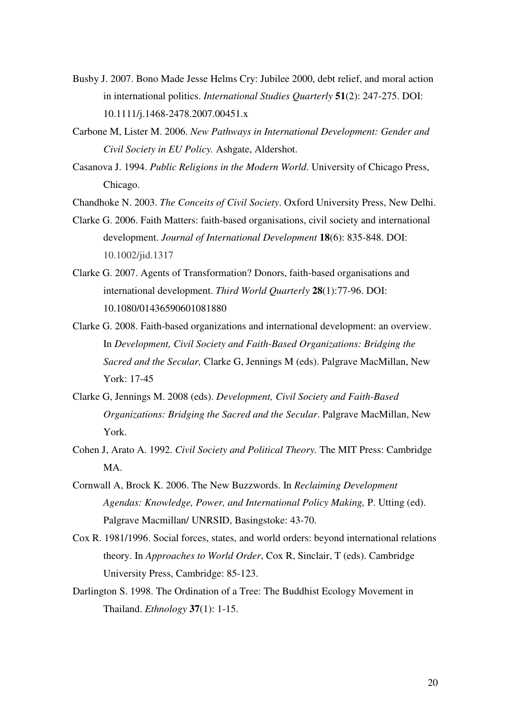- Busby J. 2007. Bono Made Jesse Helms Cry: Jubilee 2000, debt relief, and moral action in international politics. *International Studies Quarterly* **51**(2): 247-275. DOI: 10.1111/j.1468-2478.2007.00451.x
- Carbone M, Lister M. 2006. *New Pathways in International Development: Gender and Civil Society in EU Policy.* Ashgate, Aldershot.
- Casanova J. 1994. *Public Religions in the Modern World*. University of Chicago Press, Chicago.
- Chandhoke N. 2003. *The Conceits of Civil Society*. Oxford University Press, New Delhi.
- Clarke G. 2006. Faith Matters: faith-based organisations, civil society and international development. *Journal of International Development* **18**(6): 835-848. DOI: 10.1002/jid.1317
- Clarke G. 2007. Agents of Transformation? Donors, faith-based organisations and international development. *Third World Quarterly* **28**(1):77-96. DOI: 10.1080/01436590601081880
- Clarke G. 2008. Faith-based organizations and international development: an overview. In *Development, Civil Society and Faith-Based Organizations: Bridging the Sacred and the Secular,* Clarke G, Jennings M (eds). Palgrave MacMillan, New York: 17-45
- Clarke G, Jennings M. 2008 (eds). *Development, Civil Society and Faith-Based Organizations: Bridging the Sacred and the Secular*. Palgrave MacMillan, New York.
- Cohen J, Arato A. 1992. *Civil Society and Political Theory.* The MIT Press: Cambridge MA.
- Cornwall A, Brock K. 2006. The New Buzzwords. In *Reclaiming Development Agendas: Knowledge, Power, and International Policy Making,* P. Utting (ed). Palgrave Macmillan/ UNRSID, Basingstoke: 43-70.
- Cox R. 1981/1996. Social forces, states, and world orders: beyond international relations theory. In *Approaches to World Order*, Cox R, Sinclair, T (eds). Cambridge University Press, Cambridge: 85-123.
- Darlington S. 1998. The Ordination of a Tree: The Buddhist Ecology Movement in Thailand. *Ethnology* **37**(1): 1-15.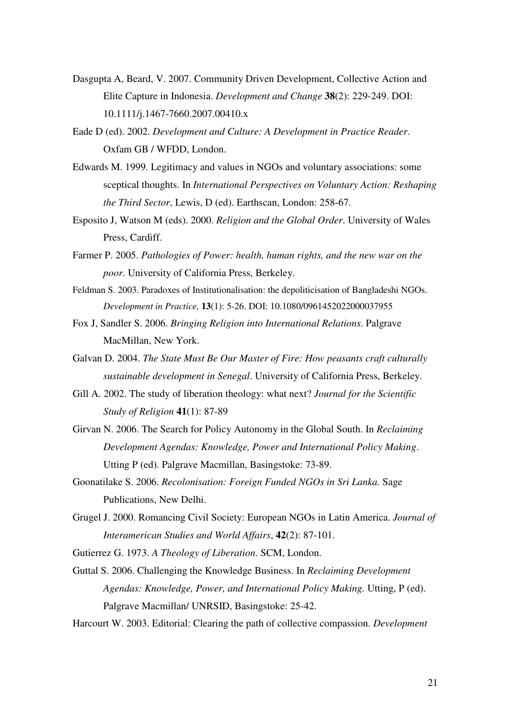- Dasgupta A, Beard, V. 2007. Community Driven Development, Collective Action and Elite Capture in Indonesia. *Development and Change* **38**(2): 229-249. DOI: 10.1111/j.1467-7660.2007.00410.x
- Eade D (ed). 2002. *Development and Culture: A Development in Practice Reader*. Oxfam GB / WFDD, London.
- Edwards M. 1999. Legitimacy and values in NGOs and voluntary associations: some sceptical thoughts. In *International Perspectives on Voluntary Action: Reshaping the Third Sector*, Lewis, D (ed). Earthscan, London: 258-67.
- Esposito J, Watson M (eds). 2000. *Religion and the Global Order*. University of Wales Press, Cardiff.
- Farmer P. 2005. *Pathologies of Power: health, human rights, and the new war on the poor*. University of California Press, Berkeley.
- Feldman S. 2003. Paradoxes of Institutionalisation: the depoliticisation of Bangladeshi NGOs. *Development in Practice,* **13**(1): 5-26. DOI: 10.1080/0961452022000037955
- Fox J, Sandler S. 2006. *Bringing Religion into International Relations*. Palgrave MacMillan, New York.
- Galvan D. 2004. *The State Must Be Our Master of Fire: How peasants craft culturally sustainable development in Senegal*. University of California Press, Berkeley.
- Gill A. 2002. The study of liberation theology: what next? *Journal for the Scientific Study of Religion* **41**(1): 87-89
- Girvan N. 2006. The Search for Policy Autonomy in the Global South. In *Reclaiming Development Agendas: Knowledge, Power and International Policy Making*. Utting P (ed). Palgrave Macmillan, Basingstoke: 73-89.
- Goonatilake S. 2006. *Recolonisation: Foreign Funded NGOs in Sri Lanka.* Sage Publications, New Delhi.
- Grugel J. 2000. Romancing Civil Society: European NGOs in Latin America. *Journal of Interamerican Studies and World Affairs*, **42**(2): 87-101.

Gutierrez G. 1973. *A Theology of Liberation*. SCM, London.

Guttal S. 2006. Challenging the Knowledge Business. In *Reclaiming Development Agendas: Knowledge, Power, and International Policy Making.* Utting, P (ed). Palgrave Macmillan/ UNRSID, Basingstoke: 25-42.

Harcourt W. 2003. Editorial: Clearing the path of collective compassion. *Development*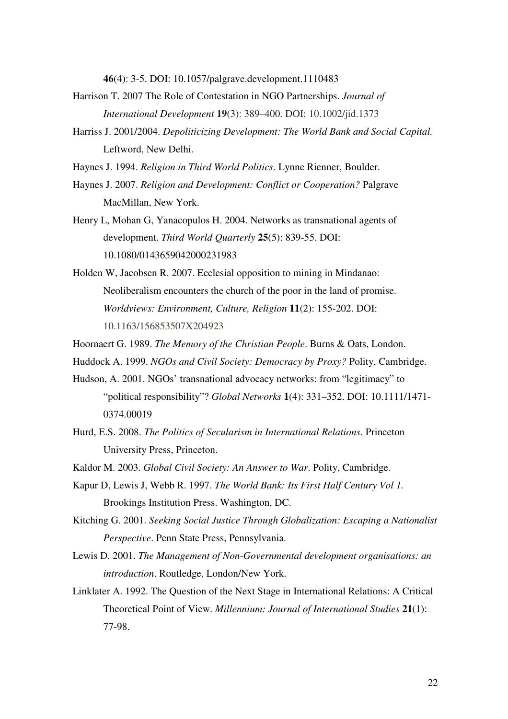**46**(4): 3-5. DOI: 10.1057/palgrave.development.1110483

- Harrison T. 2007 The Role of Contestation in NGO Partnerships. *Journal of International Development* **19**(3): 389–400. DOI: 10.1002/jid.1373
- Harriss J. 2001/2004. *Depoliticizing Development: The World Bank and Social Capital.* Leftword, New Delhi.
- Haynes J. 1994. *Religion in Third World Politics*. Lynne Rienner, Boulder.
- Haynes J. 2007. *Religion and Development: Conflict or Cooperation?* Palgrave MacMillan, New York.
- Henry L, Mohan G, Yanacopulos H. 2004. Networks as transnational agents of development. *Third World Quarterly* **25**(5): 839-55. DOI: 10.1080/0143659042000231983
- Holden W, Jacobsen R. 2007. Ecclesial opposition to mining in Mindanao: Neoliberalism encounters the church of the poor in the land of promise. *Worldviews: Environment, Culture, Religion* **11**(2): 155-202. DOI: 10.1163/156853507X204923
- Hoornaert G. 1989. *The Memory of the Christian People*. Burns & Oats, London.
- Huddock A. 1999. *NGOs and Civil Society: Democracy by Proxy?* Polity, Cambridge.
- Hudson, A. 2001. NGOs' transnational advocacy networks: from "legitimacy" to "political responsibility"? *Global Networks* **1**(4): 331–352. DOI: 10.1111/1471- 0374.00019
- Hurd, E.S. 2008. *The Politics of Secularism in International Relations*. Princeton University Press, Princeton.
- Kaldor M. 2003. *Global Civil Society: An Answer to War*. Polity, Cambridge.
- Kapur D, Lewis J, Webb R. 1997. *The World Bank: Its First Half Century Vol 1.*  Brookings Institution Press. Washington, DC.
- Kitching G. 2001. *Seeking Social Justice Through Globalization: Escaping a Nationalist Perspective*. Penn State Press, Pennsylvania.
- Lewis D. 2001. *The Management of Non-Governmental development organisations: an introduction*. Routledge, London/New York.
- Linklater A. 1992. The Question of the Next Stage in International Relations: A Critical Theoretical Point of View. *Millennium: Journal of International Studies* **21**(1): 77-98.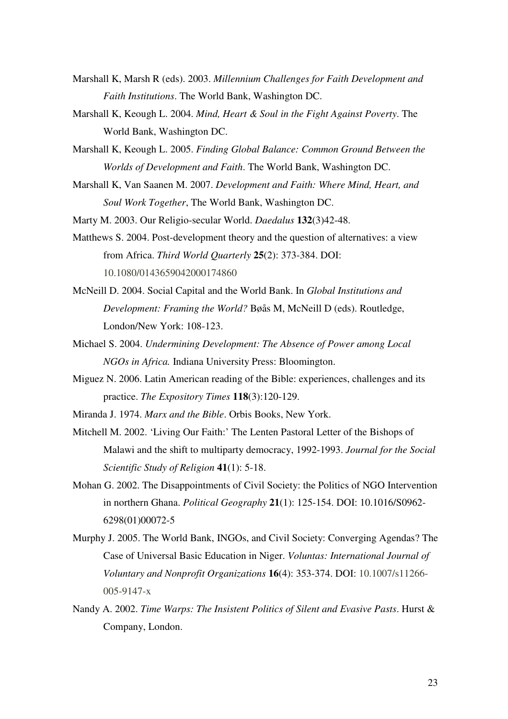- Marshall K, Marsh R (eds). 2003. *Millennium Challenges for Faith Development and Faith Institutions*. The World Bank, Washington DC.
- Marshall K, Keough L. 2004. *Mind, Heart & Soul in the Fight Against Poverty*. The World Bank, Washington DC.
- Marshall K, Keough L. 2005. *Finding Global Balance: Common Ground Between the Worlds of Development and Faith*. The World Bank, Washington DC.
- Marshall K, Van Saanen M. 2007. *Development and Faith: Where Mind, Heart, and Soul Work Together*, The World Bank, Washington DC.

Marty M. 2003. Our Religio-secular World. *Daedalus* **132**(3)42-48.

- Matthews S. 2004. Post-development theory and the question of alternatives: a view from Africa. *Third World Quarterly* **25**(2): 373-384. DOI: 10.1080/0143659042000174860
- McNeill D. 2004. Social Capital and the World Bank. In *Global Institutions and Development: Framing the World?* Bøås M, McNeill D (eds). Routledge, London/New York: 108-123.
- Michael S. 2004. *Undermining Development: The Absence of Power among Local NGOs in Africa.* Indiana University Press: Bloomington.
- Miguez N. 2006. Latin American reading of the Bible: experiences, challenges and its practice. *The Expository Times* **118**(3):120-129.
- Miranda J. 1974. *Marx and the Bible*. Orbis Books, New York.
- Mitchell M. 2002. 'Living Our Faith:' The Lenten Pastoral Letter of the Bishops of Malawi and the shift to multiparty democracy, 1992-1993. *Journal for the Social Scientific Study of Religion* **41**(1): 5-18.
- Mohan G. 2002. The Disappointments of Civil Society: the Politics of NGO Intervention in northern Ghana. *Political Geography* **21**(1): 125-154. DOI: 10.1016/S0962- 6298(01)00072-5
- Murphy J. 2005. The World Bank, INGOs, and Civil Society: Converging Agendas? The Case of Universal Basic Education in Niger. *Voluntas: International Journal of Voluntary and Nonprofit Organizations* **16**(4): 353-374. DOI: 10.1007/s11266- 005-9147-x
- Nandy A. 2002. *Time Warps: The Insistent Politics of Silent and Evasive Pasts*. Hurst & Company, London.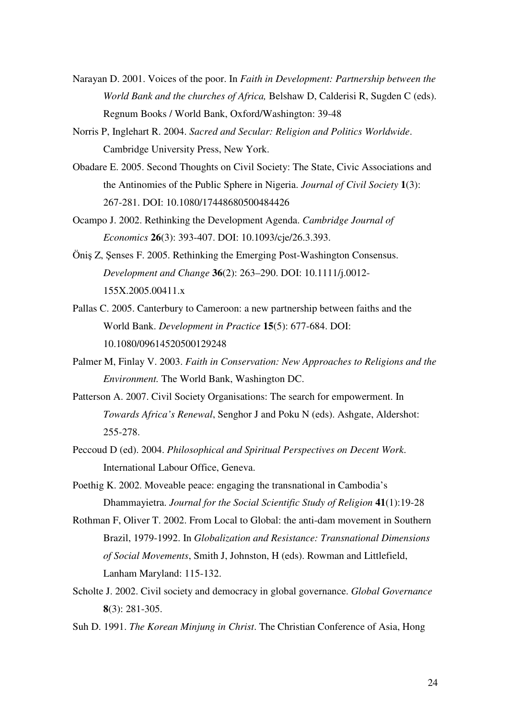- Narayan D. 2001. Voices of the poor. In *Faith in Development: Partnership between the World Bank and the churches of Africa,* Belshaw D, Calderisi R, Sugden C (eds). Regnum Books / World Bank, Oxford/Washington: 39-48
- Norris P, Inglehart R. 2004. *Sacred and Secular: Religion and Politics Worldwide*. Cambridge University Press, New York.
- Obadare E. 2005. Second Thoughts on Civil Society: The State, Civic Associations and the Antinomies of the Public Sphere in Nigeria. *Journal of Civil Society* **1**(3): 267-281. DOI: 10.1080/17448680500484426
- Ocampo J. 2002. Rethinking the Development Agenda. *Cambridge Journal of Economics* **26**(3): 393-407. DOI: 10.1093/cje/26.3.393.
- Öniş Z, Şenses F. 2005. Rethinking the Emerging Post-Washington Consensus. *Development and Change* **36**(2): 263–290. DOI: 10.1111/j.0012- 155X.2005.00411.x
- Pallas C. 2005. Canterbury to Cameroon: a new partnership between faiths and the World Bank. *Development in Practice* **15**(5): 677-684. DOI: 10.1080/09614520500129248
- Palmer M, Finlay V. 2003. *Faith in Conservation: New Approaches to Religions and the Environment.* The World Bank, Washington DC.
- Patterson A. 2007. Civil Society Organisations: The search for empowerment. In *Towards Africa's Renewal*, Senghor J and Poku N (eds). Ashgate, Aldershot: 255-278.
- Peccoud D (ed). 2004. *Philosophical and Spiritual Perspectives on Decent Work*. International Labour Office, Geneva.
- Poethig K. 2002. Moveable peace: engaging the transnational in Cambodia's Dhammayietra. *Journal for the Social Scientific Study of Religion* **41**(1):19-28
- Rothman F, Oliver T. 2002. From Local to Global: the anti-dam movement in Southern Brazil, 1979-1992. In *Globalization and Resistance: Transnational Dimensions of Social Movements*, Smith J, Johnston, H (eds). Rowman and Littlefield, Lanham Maryland: 115-132.
- Scholte J. 2002. Civil society and democracy in global governance. *Global Governance* **8**(3): 281-305.
- Suh D. 1991. *The Korean Minjung in Christ*. The Christian Conference of Asia, Hong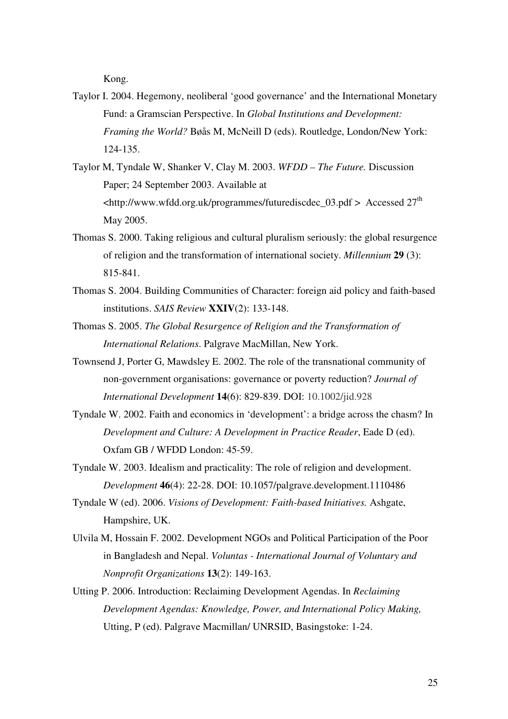Kong.

- Taylor I. 2004. Hegemony, neoliberal 'good governance' and the International Monetary Fund: a Gramscian Perspective. In *Global Institutions and Development: Framing the World?* Bøås M, McNeill D (eds). Routledge, London/New York: 124-135.
- Taylor M, Tyndale W, Shanker V, Clay M. 2003. *WFDD The Future.* Discussion Paper; 24 September 2003. Available at <http://www.wfdd.org.uk/programmes/futurediscdec\_03.pdf > Accessed 27th May 2005.
- Thomas S. 2000. Taking religious and cultural pluralism seriously: the global resurgence of religion and the transformation of international society. *Millennium* **29** (3): 815-841.
- Thomas S. 2004. Building Communities of Character: foreign aid policy and faith-based institutions. *SAIS Review* **XXIV**(2): 133-148.
- Thomas S. 2005. *The Global Resurgence of Religion and the Transformation of International Relations*. Palgrave MacMillan, New York.
- Townsend J, Porter G, Mawdsley E. 2002. The role of the transnational community of non-government organisations: governance or poverty reduction? *Journal of International Development* **14**(6): 829-839. DOI: 10.1002/jid.928
- Tyndale W. 2002. Faith and economics in 'development': a bridge across the chasm? In *Development and Culture: A Development in Practice Reader*, Eade D (ed). Oxfam GB / WFDD London: 45-59.
- Tyndale W. 2003. Idealism and practicality: The role of religion and development. *Development* **46**(4): 22-28. DOI: 10.1057/palgrave.development.1110486
- Tyndale W (ed). 2006. *Visions of Development: Faith-based Initiatives.* Ashgate, Hampshire, UK.
- Ulvila M, Hossain F. 2002. Development NGOs and Political Participation of the Poor in Bangladesh and Nepal. *Voluntas - International Journal of Voluntary and Nonprofit Organizations* **13**(2): 149-163.
- Utting P. 2006. Introduction: Reclaiming Development Agendas. In *Reclaiming Development Agendas: Knowledge, Power, and International Policy Making,*  Utting, P (ed). Palgrave Macmillan/ UNRSID, Basingstoke: 1-24.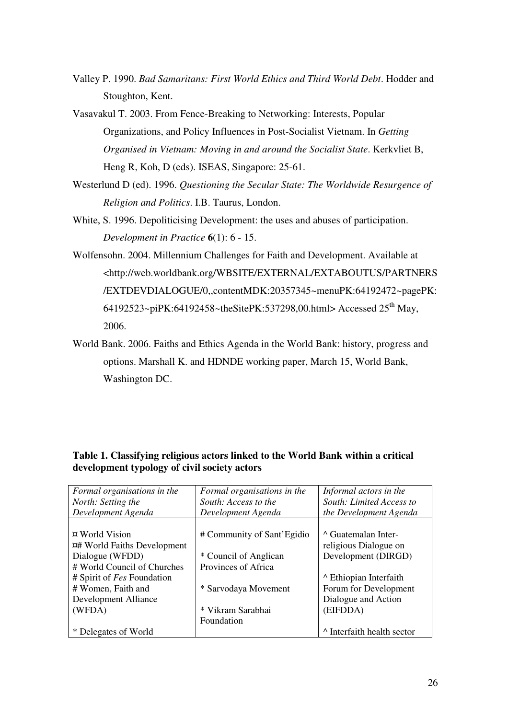- Valley P. 1990. *Bad Samaritans: First World Ethics and Third World Debt*. Hodder and Stoughton, Kent.
- Vasavakul T. 2003. From Fence-Breaking to Networking: Interests, Popular Organizations, and Policy Influences in Post-Socialist Vietnam. In *Getting Organised in Vietnam: Moving in and around the Socialist State*. Kerkvliet B, Heng R, Koh, D (eds). ISEAS, Singapore: 25-61.
- Westerlund D (ed). 1996. *Questioning the Secular State: The Worldwide Resurgence of Religion and Politics*. I.B. Taurus, London.
- White, S. 1996. Depoliticising Development: the uses and abuses of participation. *Development in Practice* **6**(1): 6 - 15.
- Wolfensohn. 2004. Millennium Challenges for Faith and Development. Available at <http://web.worldbank.org/WBSITE/EXTERNAL/EXTABOUTUS/PARTNERS /EXTDEVDIALOGUE/0,,contentMDK:20357345~menuPK:64192472~pagePK: 64192523~piPK:64192458~theSitePK:537298,00.html> Accessed 25th May, 2006.
- World Bank. 2006. Faiths and Ethics Agenda in the World Bank: history, progress and options. Marshall K. and HDNDE working paper, March 15, World Bank, Washington DC.

| Formal organisations in the       | Formal organisations in the | Informal actors in the         |
|-----------------------------------|-----------------------------|--------------------------------|
| North: Setting the                | South: Access to the        | South: Limited Access to       |
| Development Agenda                | Development Agenda          | the Development Agenda         |
|                                   |                             |                                |
| $\upalpha$ World Vision           | # Community of Sant'Egidio  | <sup>^</sup> Guatemalan Inter- |
| ¤# World Faiths Development       |                             | religious Dialogue on          |
| Dialogue (WFDD)                   | * Council of Anglican       | Development (DIRGD)            |
| # World Council of Churches       | Provinces of Africa         |                                |
| # Spirit of <i>Fes</i> Foundation |                             | A Ethiopian Interfaith         |
| # Women, Faith and                | * Sarvodaya Movement        | Forum for Development          |
| Development Alliance              |                             | Dialogue and Action            |
| (WFDA)                            | * Vikram Sarabhai           | (EIFDDA)                       |
|                                   | Foundation                  |                                |
| * Delegates of World              |                             | The Interfaith health sector   |

# **Table 1. Classifying religious actors linked to the World Bank within a critical development typology of civil society actors**